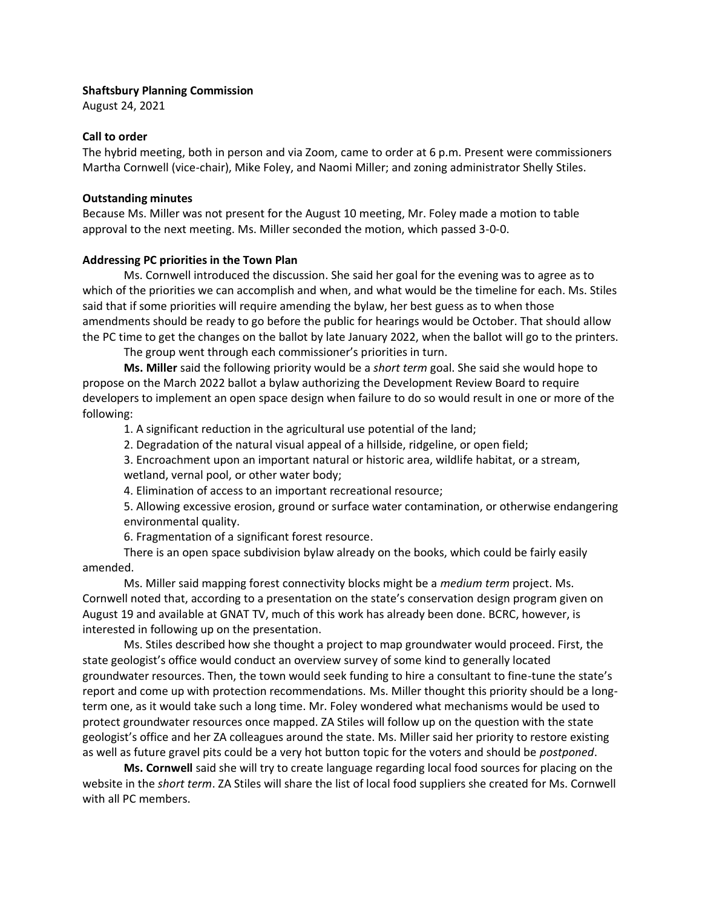## **Shaftsbury Planning Commission**

August 24, 2021

## **Call to order**

The hybrid meeting, both in person and via Zoom, came to order at 6 p.m. Present were commissioners Martha Cornwell (vice-chair), Mike Foley, and Naomi Miller; and zoning administrator Shelly Stiles.

# **Outstanding minutes**

Because Ms. Miller was not present for the August 10 meeting, Mr. Foley made a motion to table approval to the next meeting. Ms. Miller seconded the motion, which passed 3-0-0.

## **Addressing PC priorities in the Town Plan**

Ms. Cornwell introduced the discussion. She said her goal for the evening was to agree as to which of the priorities we can accomplish and when, and what would be the timeline for each. Ms. Stiles said that if some priorities will require amending the bylaw, her best guess as to when those amendments should be ready to go before the public for hearings would be October. That should allow the PC time to get the changes on the ballot by late January 2022, when the ballot will go to the printers.

The group went through each commissioner's priorities in turn.

**Ms. Miller** said the following priority would be a *short term* goal. She said she would hope to propose on the March 2022 ballot a bylaw authorizing the Development Review Board to require developers to implement an open space design when failure to do so would result in one or more of the following:

1. A significant reduction in the agricultural use potential of the land;

2. Degradation of the natural visual appeal of a hillside, ridgeline, or open field;

3. Encroachment upon an important natural or historic area, wildlife habitat, or a stream, wetland, vernal pool, or other water body;

4. Elimination of access to an important recreational resource;

5. Allowing excessive erosion, ground or surface water contamination, or otherwise endangering environmental quality.

6. Fragmentation of a significant forest resource.

There is an open space subdivision bylaw already on the books, which could be fairly easily amended.

Ms. Miller said mapping forest connectivity blocks might be a *medium term* project. Ms. Cornwell noted that, according to a presentation on the state's conservation design program given on August 19 and available at GNAT TV, much of this work has already been done. BCRC, however, is interested in following up on the presentation.

Ms. Stiles described how she thought a project to map groundwater would proceed. First, the state geologist's office would conduct an overview survey of some kind to generally located groundwater resources. Then, the town would seek funding to hire a consultant to fine-tune the state's report and come up with protection recommendations. Ms. Miller thought this priority should be a longterm one, as it would take such a long time. Mr. Foley wondered what mechanisms would be used to protect groundwater resources once mapped. ZA Stiles will follow up on the question with the state geologist's office and her ZA colleagues around the state. Ms. Miller said her priority to restore existing as well as future gravel pits could be a very hot button topic for the voters and should be *postponed*.

**Ms. Cornwell** said she will try to create language regarding local food sources for placing on the website in the *short term*. ZA Stiles will share the list of local food suppliers she created for Ms. Cornwell with all PC members.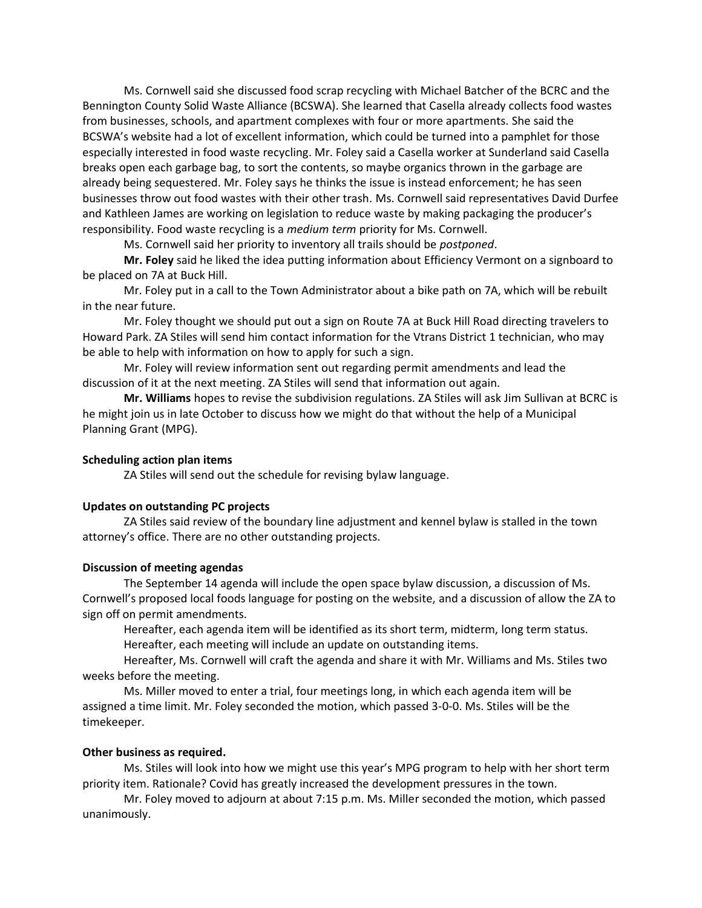Ms. Cornwell said she discussed food scrap recycling with Michael Batcher of the BCRC and the Bennington County Solid Waste Alliance (BCSWA). She learned that Casella already collects food wastes from businesses, schools, and apartment complexes with four or more apartments. She said the BCSWA's website had a lot of excellent information, which could be turned into a pamphlet for those especially interested in food waste recycling. Mr. Foley said a Casella worker at Sunderland said Casella breaks open each garbage bag, to sort the contents, so maybe organics thrown in the garbage are already being sequestered. Mr. Foley says he thinks the issue is instead enforcement; he has seen businesses throw out food wastes with their other trash. Ms. Cornwell said representatives David Durfee and Kathleen James are working on legislation to reduce waste by making packaging the producer's responsibility. Food waste recycling is a *medium term* priority for Ms. Cornwell.

Ms. Cornwell said her priority to inventory all trails should be *postponed*.

**Mr. Foley** said he liked the idea putting information about Efficiency Vermont on a signboard to be placed on 7A at Buck Hill.

Mr. Foley put in a call to the Town Administrator about a bike path on 7A, which will be rebuilt in the near future.

Mr. Foley thought we should put out a sign on Route 7A at Buck Hill Road directing travelers to Howard Park. ZA Stiles will send him contact information for the Vtrans District 1 technician, who may be able to help with information on how to apply for such a sign.

Mr. Foley will review information sent out regarding permit amendments and lead the discussion of it at the next meeting. ZA Stiles will send that information out again.

**Mr. Williams** hopes to revise the subdivision regulations. ZA Stiles will ask Jim Sullivan at BCRC is he might join us in late October to discuss how we might do that without the help of a Municipal Planning Grant (MPG).

# **Scheduling action plan items**

ZA Stiles will send out the schedule for revising bylaw language.

### **Updates on outstanding PC projects**

ZA Stiles said review of the boundary line adjustment and kennel bylaw is stalled in the town attorney's office. There are no other outstanding projects.

### **Discussion of meeting agendas**

The September 14 agenda will include the open space bylaw discussion, a discussion of Ms. Cornwell's proposed local foods language for posting on the website, and a discussion of allow the ZA to sign off on permit amendments.

Hereafter, each agenda item will be identified as its short term, midterm, long term status. Hereafter, each meeting will include an update on outstanding items.

Hereafter, Ms. Cornwell will craft the agenda and share it with Mr. Williams and Ms. Stiles two weeks before the meeting.

Ms. Miller moved to enter a trial, four meetings long, in which each agenda item will be assigned a time limit. Mr. Foley seconded the motion, which passed 3-0-0. Ms. Stiles will be the timekeeper.

### **Other business as required.**

Ms. Stiles will look into how we might use this year's MPG program to help with her short term priority item. Rationale? Covid has greatly increased the development pressures in the town.

Mr. Foley moved to adjourn at about 7:15 p.m. Ms. Miller seconded the motion, which passed unanimously.